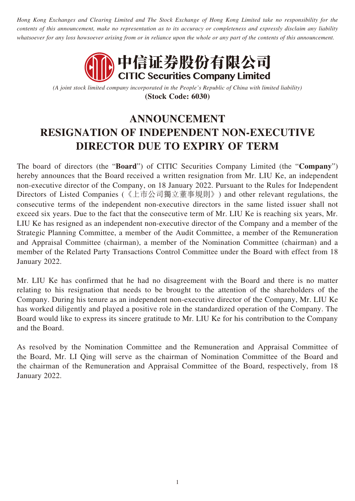*Hong Kong Exchanges and Clearing Limited and The Stock Exchange of Hong Kong Limited take no responsibility for the contents of this announcement, make no representation as to its accuracy or completeness and expressly disclaim any liability whatsoever for any loss howsoever arising from or in reliance upon the whole or any part of the contents of this announcement.*



*(A joint stock limited company incorporated in the People's Republic of China with limited liability)* **(Stock Code: 6030)**

## **ANNOUNCEMENT RESIGNATION OF INDEPENDENT NON-EXECUTIVE DIRECTOR DUE TO EXPIRY OF TERM**

The board of directors (the "**Board**") of CITIC Securities Company Limited (the "**Company**") hereby announces that the Board received a written resignation from Mr. LIU Ke, an independent non-executive director of the Company, on 18 January 2022. Pursuant to the Rules for Independent Directors of Listed Companies (《上市公司獨立董事規則》) and other relevant regulations, the consecutive terms of the independent non-executive directors in the same listed issuer shall not exceed six years. Due to the fact that the consecutive term of Mr. LIU Ke is reaching six years, Mr. LIU Ke has resigned as an independent non-executive director of the Company and a member of the Strategic Planning Committee, a member of the Audit Committee, a member of the Remuneration and Appraisal Committee (chairman), a member of the Nomination Committee (chairman) and a member of the Related Party Transactions Control Committee under the Board with effect from 18 January 2022.

Mr. LIU Ke has confirmed that he had no disagreement with the Board and there is no matter relating to his resignation that needs to be brought to the attention of the shareholders of the Company. During his tenure as an independent non-executive director of the Company, Mr. LIU Ke has worked diligently and played a positive role in the standardized operation of the Company. The Board would like to express its sincere gratitude to Mr. LIU Ke for his contribution to the Company and the Board.

As resolved by the Nomination Committee and the Remuneration and Appraisal Committee of the Board, Mr. LI Qing will serve as the chairman of Nomination Committee of the Board and the chairman of the Remuneration and Appraisal Committee of the Board, respectively, from 18 January 2022.